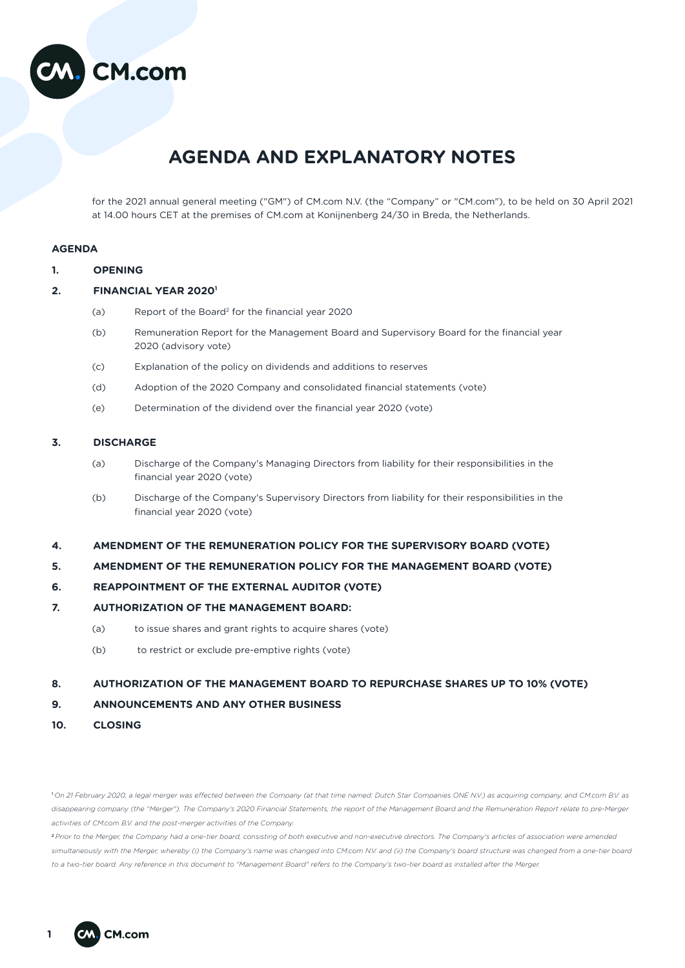

# **AGENDA AND EXPLANATORY NOTES**

for the 2021 annual general meeting ("GM") of CM.com N.V. (the "Company" or "CM.com"), to be held on 30 April 2021 at 14.00 hours CET at the premises of CM.com at Konijnenberg 24/30 in Breda, the Netherlands.

# **AGENDA**

| <b>OPENING</b> |
|----------------|
|                |

## **2. FINANCIAL YEAR 20201**

- (a) Report of the Board2 for the financial year 2020
- (b) Remuneration Report for the Management Board and Supervisory Board for the financial year 2020 (advisory vote)
- (c) Explanation of the policy on dividends and additions to reserves
- (d) Adoption of the 2020 Company and consolidated financial statements (vote)
- (e) Determination of the dividend over the financial year 2020 (vote)

## **3. DISCHARGE**

- (a) Discharge of the Company's Managing Directors from liability for their responsibilities in the financial year 2020 (vote)
- (b) Discharge of the Company's Supervisory Directors from liability for their responsibilities in the financial year 2020 (vote)
- **4. AMENDMENT OF THE REMUNERATION POLICY FOR THE SUPERVISORY BOARD (VOTE)**

## **5. AMENDMENT OF THE REMUNERATION POLICY FOR THE MANAGEMENT BOARD (VOTE)**

# **6. REAPPOINTMENT OF THE EXTERNAL AUDITOR (VOTE)**

## **7. AUTHORIZATION OF THE MANAGEMENT BOARD:**

- (a) to issue shares and grant rights to acquire shares (vote)
- (b) to restrict or exclude pre-emptive rights (vote)

# **8. AUTHORIZATION OF THE MANAGEMENT BOARD TO REPURCHASE SHARES UP TO 10% (VOTE)**

# **9. ANNOUNCEMENTS AND ANY OTHER BUSINESS**

**10. CLOSING**

<sup>1</sup> *On 21 February 2020, a legal merger was effected between the Company (at that time named: Dutch Star Companies ONE N.V.) as acquiring company, and CM.com B.V. as disappearing company (the "Merger"). The Company's 2020 Financial Statements, the report of the Management Board and the Remuneration Report relate to pre-Merger activities of CM.com B.V. and the post-merger activities of the Company.*

<sup>2</sup> *Prior to the Merger, the Company had a one-tier board, consisting of both executive and non-executive directors. The Company's articles of association were amended*  simultaneously with the Merger, whereby (i) the Company's name was changed into CM.com N.V. and (ii) the Company's board structure was changed from a one-tier board *to a two-tier board. Any reference in this document to "Management Board" refers to the Company's two-tier board as installed after the Merger.*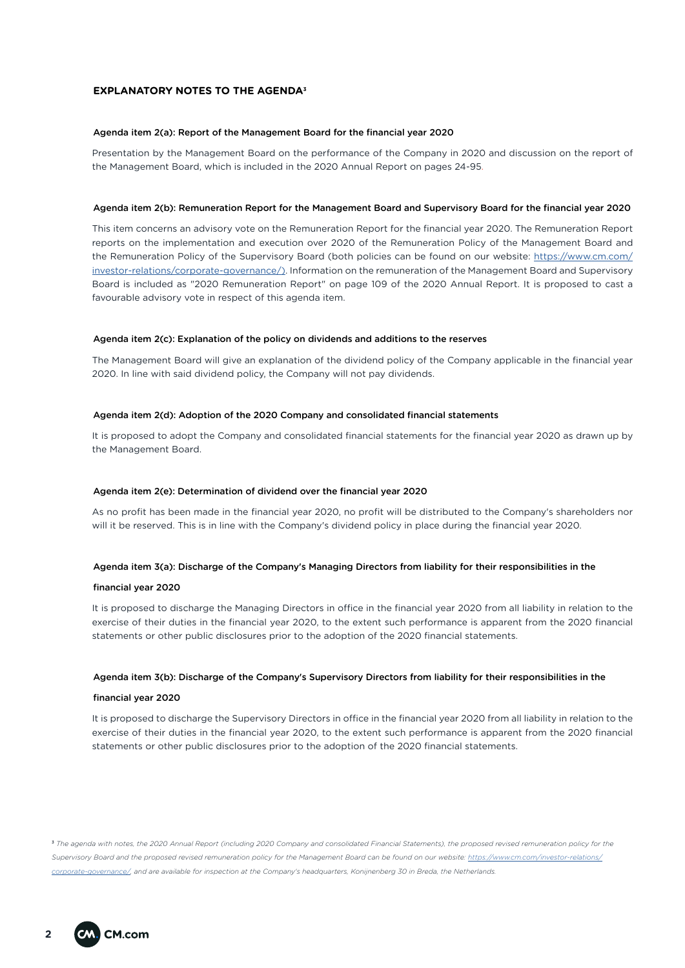## **EXPLANATORY NOTES TO THE AGENDA3**

#### Agenda item 2(a): Report of the Management Board for the financial year 2020

Presentation by the Management Board on the performance of the Company in 2020 and discussion on the report of the Management Board, which is included in the 2020 Annual Report on pages 24-95.

#### Agenda item 2(b): Remuneration Report for the Management Board and Supervisory Board for the financial year 2020

This item concerns an advisory vote on the Remuneration Report for the financial year 2020. The Remuneration Report reports on the implementation and execution over 2020 of the Remuneration Policy of the Management Board and the Remuneration Policy of the Supervisory Board (both policies can be found on our website: [https://www.cm.com/](https://www.cm.com/investor-relations/corporate-governance/)) [investor-relations/corporate-governance/\)](https://www.cm.com/investor-relations/corporate-governance/)). Information on the remuneration of the Management Board and Supervisory Board is included as "2020 Remuneration Report" on page 109 of the 2020 Annual Report. It is proposed to cast a favourable advisory vote in respect of this agenda item.

#### Agenda item 2(c): Explanation of the policy on dividends and additions to the reserves

The Management Board will give an explanation of the dividend policy of the Company applicable in the financial year 2020. In line with said dividend policy, the Company will not pay dividends.

#### Agenda item 2(d): Adoption of the 2020 Company and consolidated financial statements

It is proposed to adopt the Company and consolidated financial statements for the financial year 2020 as drawn up by the Management Board.

#### Agenda item 2(e): Determination of dividend over the financial year 2020

As no profit has been made in the financial year 2020, no profit will be distributed to the Company's shareholders nor will it be reserved. This is in line with the Company's dividend policy in place during the financial year 2020.

#### Agenda item 3(a): Discharge of the Company's Managing Directors from liability for their responsibilities in the

#### financial year 2020

It is proposed to discharge the Managing Directors in office in the financial year 2020 from all liability in relation to the exercise of their duties in the financial year 2020, to the extent such performance is apparent from the 2020 financial statements or other public disclosures prior to the adoption of the 2020 financial statements.

#### Agenda item 3(b): Discharge of the Company's Supervisory Directors from liability for their responsibilities in the

#### financial year 2020

It is proposed to discharge the Supervisory Directors in office in the financial year 2020 from all liability in relation to the exercise of their duties in the financial year 2020, to the extent such performance is apparent from the 2020 financial statements or other public disclosures prior to the adoption of the 2020 financial statements.

<sup>3</sup> The agenda with notes, the 2020 Annual Report (including 2020 Company and consolidated Financial Statements), the proposed revised remuneration policy for the *Supervisory Board and the proposed revised remuneration policy for the Management Board can be found on our website: h[ttps://www.cm.com/investor-relations/](https://www.cm.com/investor-relations/corporate-governance/) [corporate-governance/](https://www.cm.com/investor-relations/corporate-governance/), and are available for inspection at the Company's headquarters, Konijnenberg 30 in Breda, the Netherlands.*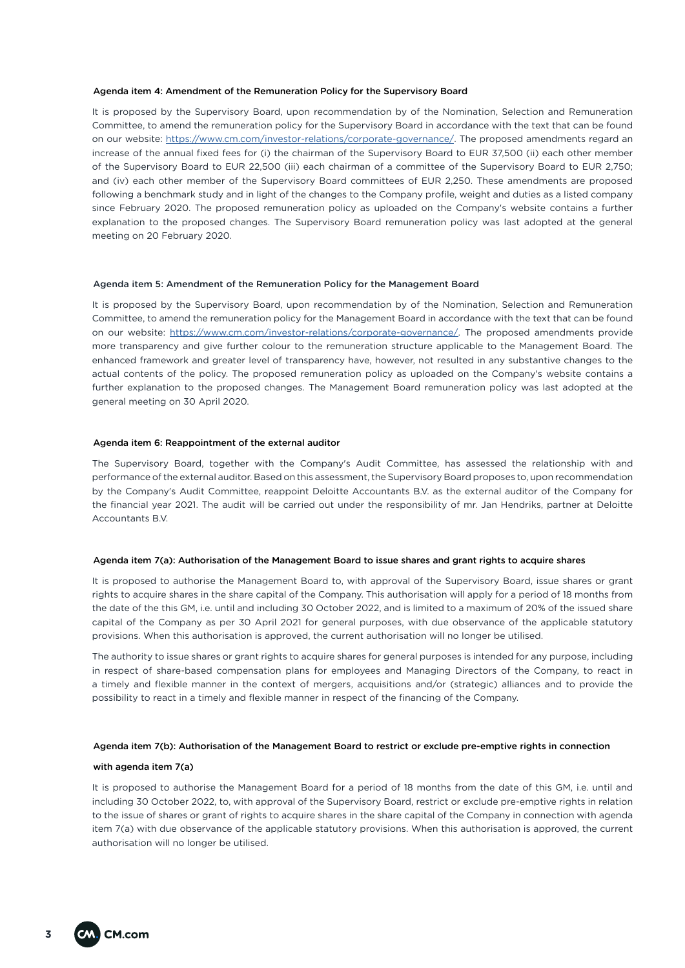#### Agenda item 4: Amendment of the Remuneration Policy for the Supervisory Board

It is proposed by the Supervisory Board, upon recommendation by of the Nomination, Selection and Remuneration Committee, to amend the remuneration policy for the Supervisory Board in accordance with the text that can be found on our website: [https://www.cm.com/investor-relations/corporate-governance/.](https://www.cm.com/investor-relations/corporate-governance/) The proposed amendments regard an increase of the annual fixed fees for (i) the chairman of the Supervisory Board to EUR 37,500 (ii) each other member of the Supervisory Board to EUR 22,500 (iii) each chairman of a committee of the Supervisory Board to EUR 2,750; and (iv) each other member of the Supervisory Board committees of EUR 2,250. These amendments are proposed following a benchmark study and in light of the changes to the Company profile, weight and duties as a listed company since February 2020. The proposed remuneration policy as uploaded on the Company's website contains a further explanation to the proposed changes. The Supervisory Board remuneration policy was last adopted at the general meeting on 20 February 2020.

#### Agenda item 5: Amendment of the Remuneration Policy for the Management Board

It is proposed by the Supervisory Board, upon recommendation by of the Nomination, Selection and Remuneration Committee, to amend the remuneration policy for the Management Board in accordance with the text that can be found on our website: <https://www.cm.com/investor-relations/corporate-governance/>. The proposed amendments provide more transparency and give further colour to the remuneration structure applicable to the Management Board. The enhanced framework and greater level of transparency have, however, not resulted in any substantive changes to the actual contents of the policy. The proposed remuneration policy as uploaded on the Company's website contains a further explanation to the proposed changes. The Management Board remuneration policy was last adopted at the general meeting on 30 April 2020.

#### Agenda item 6: Reappointment of the external auditor

The Supervisory Board, together with the Company's Audit Committee, has assessed the relationship with and performance of the external auditor. Based on this assessment, the Supervisory Board proposes to, upon recommendation by the Company's Audit Committee, reappoint Deloitte Accountants B.V. as the external auditor of the Company for the financial year 2021. The audit will be carried out under the responsibility of mr. Jan Hendriks, partner at Deloitte Accountants B.V.

#### Agenda item 7(a): Authorisation of the Management Board to issue shares and grant rights to acquire shares

It is proposed to authorise the Management Board to, with approval of the Supervisory Board, issue shares or grant rights to acquire shares in the share capital of the Company. This authorisation will apply for a period of 18 months from the date of the this GM, i.e. until and including 30 October 2022, and is limited to a maximum of 20% of the issued share capital of the Company as per 30 April 2021 for general purposes, with due observance of the applicable statutory provisions. When this authorisation is approved, the current authorisation will no longer be utilised.

The authority to issue shares or grant rights to acquire shares for general purposes is intended for any purpose, including in respect of share-based compensation plans for employees and Managing Directors of the Company, to react in a timely and flexible manner in the context of mergers, acquisitions and/or (strategic) alliances and to provide the possibility to react in a timely and flexible manner in respect of the financing of the Company.

#### Agenda item 7(b): Authorisation of the Management Board to restrict or exclude pre-emptive rights in connection

#### with agenda item 7(a)

It is proposed to authorise the Management Board for a period of 18 months from the date of this GM, i.e. until and including 30 October 2022, to, with approval of the Supervisory Board, restrict or exclude pre-emptive rights in relation to the issue of shares or grant of rights to acquire shares in the share capital of the Company in connection with agenda item 7(a) with due observance of the applicable statutory provisions. When this authorisation is approved, the current authorisation will no longer be utilised.